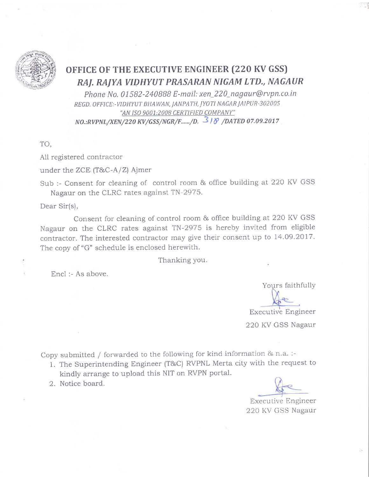

## OFFICE OF THE EXECUTIVE ENGINEER (220 KV GSS) RAJ. RAJYA VIDHYUT PRASARAN NIGAM LTD., NAGAUR

Phone No. 01582-240888 E-mail: xen\_220\_nagaur@rvpn.co.in REGD. OFFICE:-VIDHYUT BHAWAN, JANPATH, JYOTI NAGAR JAIPUR-302005 "AN ISO 9001:2008 CERTIFIED COMPANY" NO.:RVPNL/XEN/220 KV/GSS/NGR/F....../D.  $318$  /DATED 07.09.2017

TO,

All registered contractor

under the ZCE (T&C-A/Z) Ajmer

Sub :- Consent for cleaning of control room & office building at 220 KV GSS Nagaur on the CLRC rates against TN-2975.

Dear Sir(s),

Consent for cleaning of control room & office building at 220 KV GSS Nagaur on the CLRC rates against TN-2975 is hereby invited from eligible contractor. The interested contractor may give their consent up to 14.09.2017. The copy of "G" schedule is enclosed herewith.

Thanking you.

Encl: - As above.

Yours faithfully

**Executive Engineer** 

220 KV GSS Nagaur

Copy submitted / forwarded to the following for kind information & n.a.:-

- 1. The Superintending Engineer (T&C) RVPNL Merta city with the request to kindly arrange to upload this NIT on RVPN portal.
- 2. Notice board.

**Executive Engineer** 220 KV GSS Nagaur